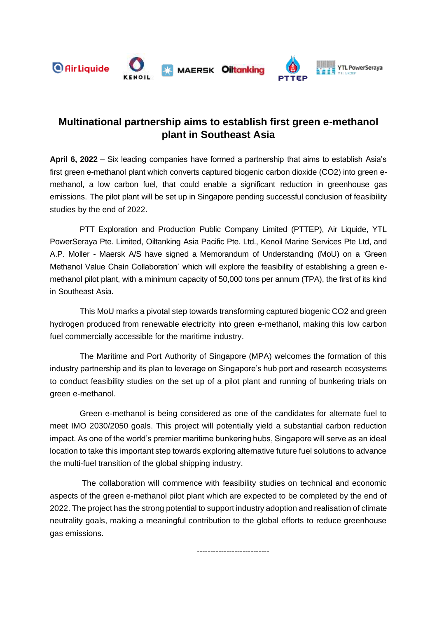

# **Multinational partnership aims to establish first green e-methanol plant in Southeast Asia**

**April 6, 2022** – Six leading companies have formed a partnership that aims to establish Asia's first green e-methanol plant which converts captured biogenic carbon dioxide (CO2) into green emethanol, a low carbon fuel, that could enable a significant reduction in greenhouse gas emissions. The pilot plant will be set up in Singapore pending successful conclusion of feasibility studies by the end of 2022.

PTT Exploration and Production Public Company Limited (PTTEP), Air Liquide, YTL PowerSeraya Pte. Limited, Oiltanking Asia Pacific Pte. Ltd., Kenoil Marine Services Pte Ltd, and A.P. Moller - Maersk A/S have signed a Memorandum of Understanding (MoU) on a 'Green Methanol Value Chain Collaboration' which will explore the feasibility of establishing a green emethanol pilot plant, with a minimum capacity of 50,000 tons per annum (TPA), the first of its kind in Southeast Asia.

This MoU marks a pivotal step towards transforming captured biogenic CO2 and green hydrogen produced from renewable electricity into green e-methanol, making this low carbon fuel commercially accessible for the maritime industry.

The Maritime and Port Authority of Singapore (MPA) welcomes the formation of this industry partnership and its plan to leverage on Singapore's hub port and research ecosystems to conduct feasibility studies on the set up of a pilot plant and running of bunkering trials on green e-methanol.

Green e-methanol is being considered as one of the candidates for alternate fuel to meet IMO 2030/2050 goals. This project will potentially yield a substantial carbon reduction impact. As one of the world's premier maritime bunkering hubs, Singapore will serve as an ideal location to take this important step towards exploring alternative future fuel solutions to advance the multi-fuel transition of the global shipping industry.

The collaboration will commence with feasibility studies on technical and economic aspects of the green e-methanol pilot plant which are expected to be completed by the end of 2022. The project has the strong potential to support industry adoption and realisation of climate neutrality goals, making a meaningful contribution to the global efforts to reduce greenhouse gas emissions.

---------------------------